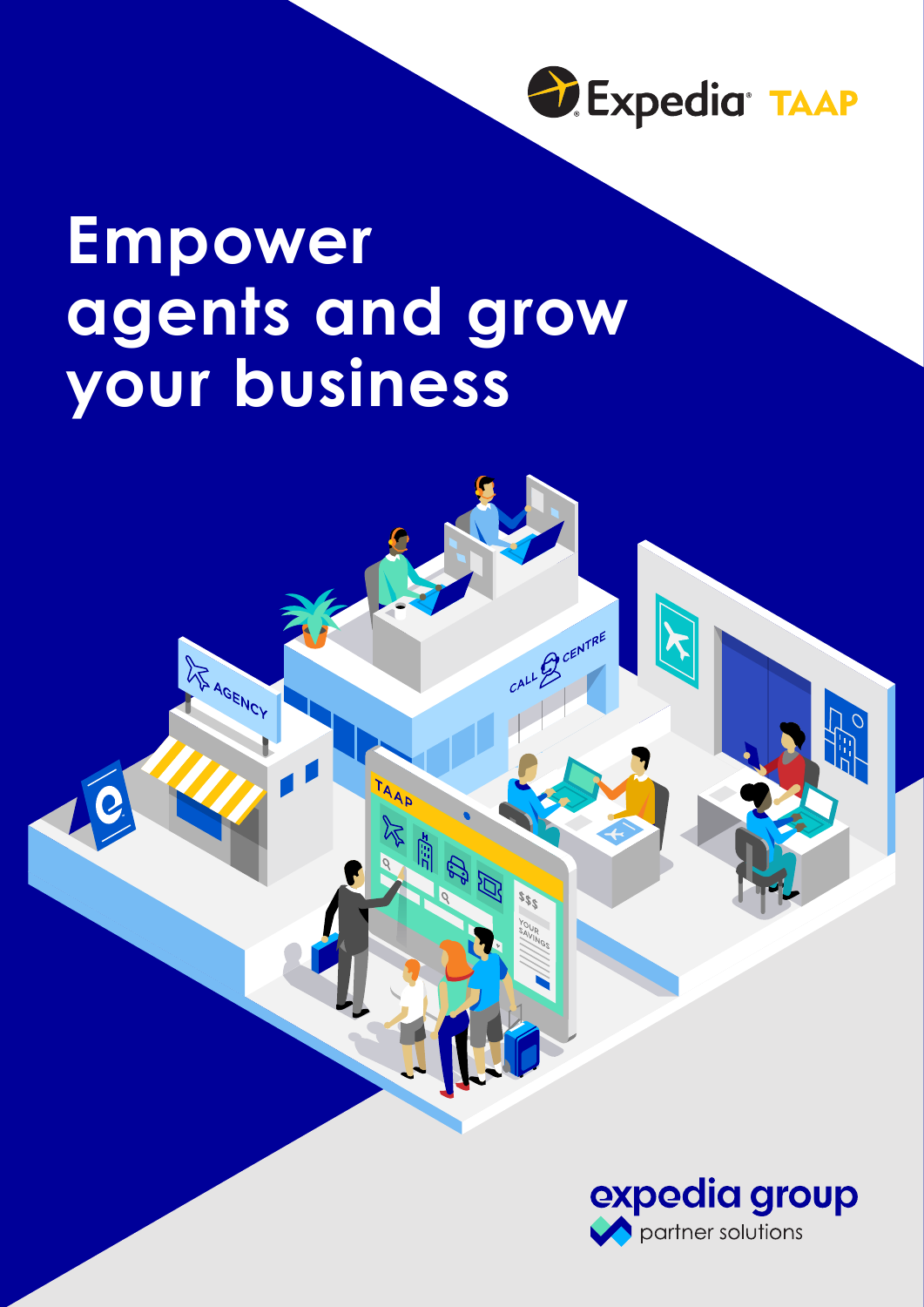

AF AGENCY



CENTRE

**ACCE**<br>CCP of a

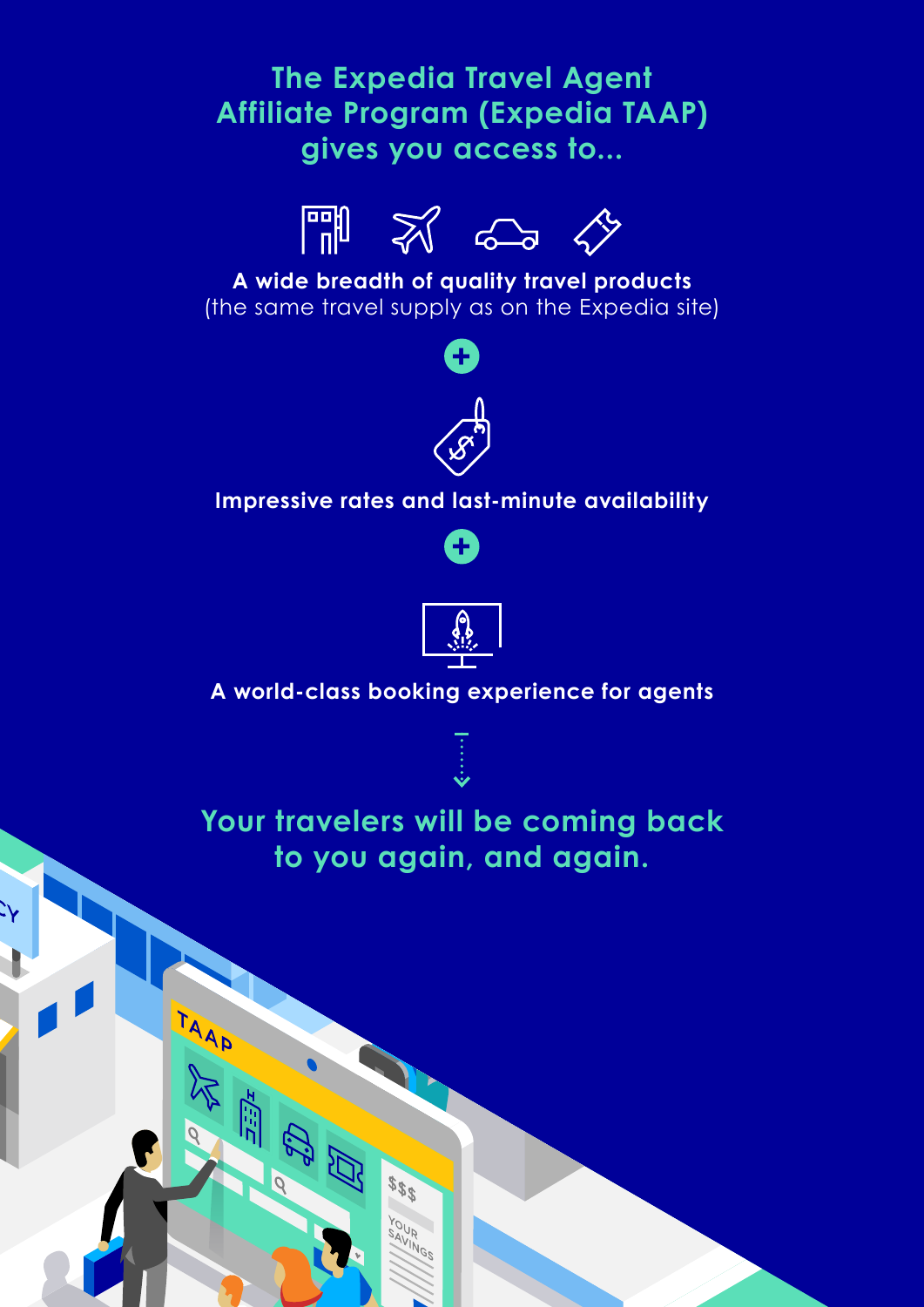## **The Expedia Travel Agent Affiliate Program (Expedia TAAP) gives you access to...**



**A wide breadth of quality travel products** (the same travel supply as on the Expedia site)



#### **Impressive rates and last-minute availability**





### **A world-class booking experience for agents**



**Your travelers will be coming back to you again, and again.**

AAAT

\$\$\$

 $\frac{\partial U}{\partial \overline{V}}$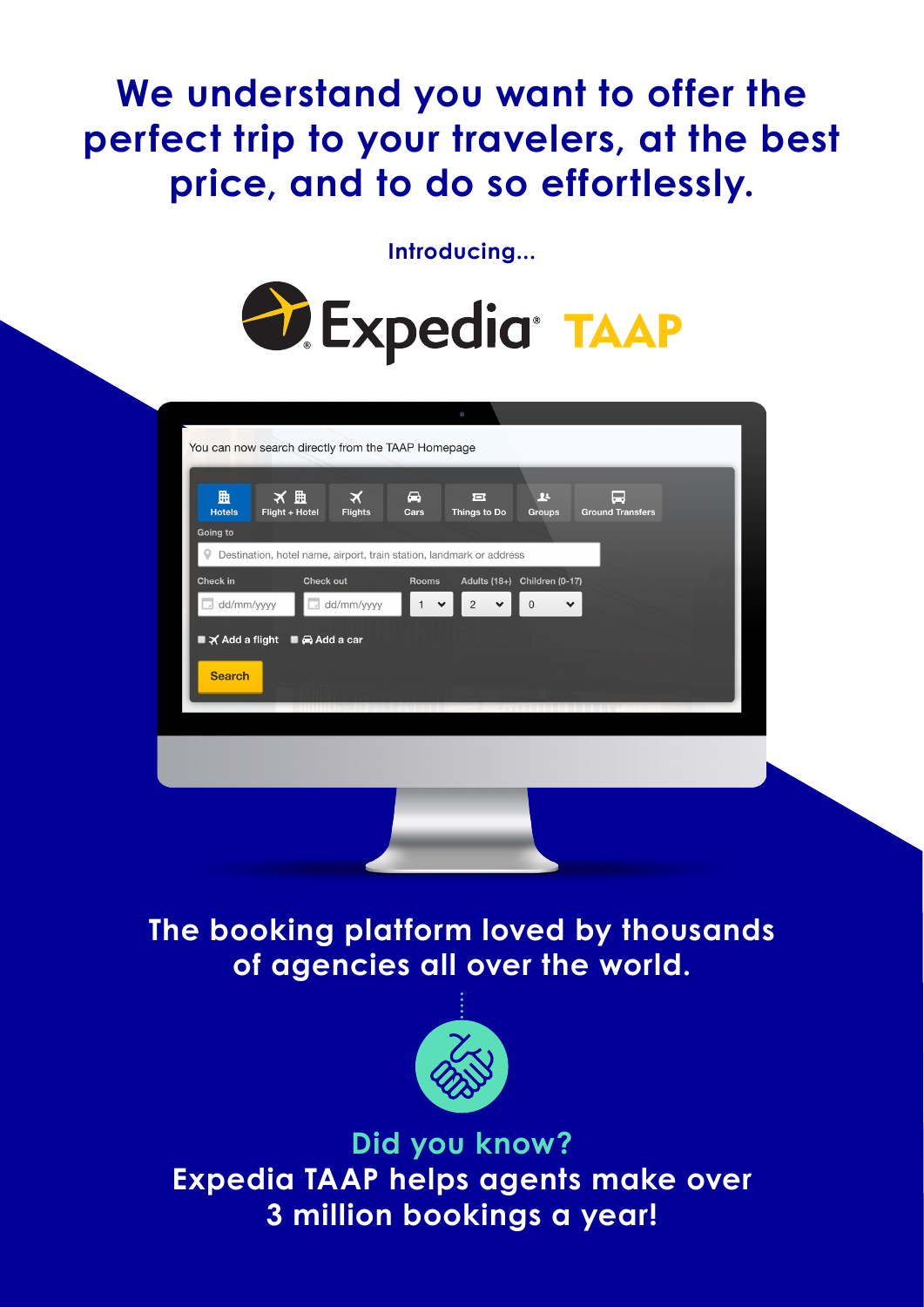# **We understand you want to offer the perfect trip to your travelers, at the best price, and to do so effortlessly.**

**Introducing...**



|               | You can now search directly from the TAAP Homepage                   |                |              |                                |                              |                         |  |
|---------------|----------------------------------------------------------------------|----------------|--------------|--------------------------------|------------------------------|-------------------------|--|
|               |                                                                      |                |              |                                |                              |                         |  |
| 曲             | ★ 亜                                                                  | $\bm{\times}$  | ⊖            | 戸                              | $\mathbf{R}$                 | ۵                       |  |
| <b>Hotels</b> | Flight + Hotel                                                       | <b>Flights</b> | Cars         | Things to Do                   | <b>Groups</b>                | <b>Ground Transfers</b> |  |
| Going to      |                                                                      |                |              |                                |                              |                         |  |
| 9             | Destination, hotel name, airport, train station, landmark or address |                |              |                                |                              |                         |  |
| Check in      | <b>Check out</b>                                                     |                | Rooms        |                                | Adults (18+) Children (0-17) |                         |  |
| dd/mm/yyyy    |                                                                      | dd/mm/yyyy     | $\checkmark$ | $\overline{c}$<br>$\checkmark$ | $\mathbf 0$<br>$\checkmark$  |                         |  |
|               | ■ X Add a flight ■ Add a car                                         |                |              |                                |                              |                         |  |
|               |                                                                      |                |              |                                |                              |                         |  |
| <b>Search</b> |                                                                      |                |              |                                |                              |                         |  |
|               |                                                                      |                |              |                                |                              |                         |  |
|               |                                                                      |                |              |                                |                              |                         |  |
|               |                                                                      |                |              |                                |                              |                         |  |
|               |                                                                      |                |              |                                |                              |                         |  |
|               |                                                                      |                |              |                                |                              |                         |  |
|               |                                                                      |                |              |                                |                              |                         |  |
|               |                                                                      |                |              |                                |                              |                         |  |
|               |                                                                      |                |              |                                |                              |                         |  |

**The booking platform loved by thousands of agencies all over the world.**



**Did you know? Expedia TAAP helps agents make over 3 million bookings a year!**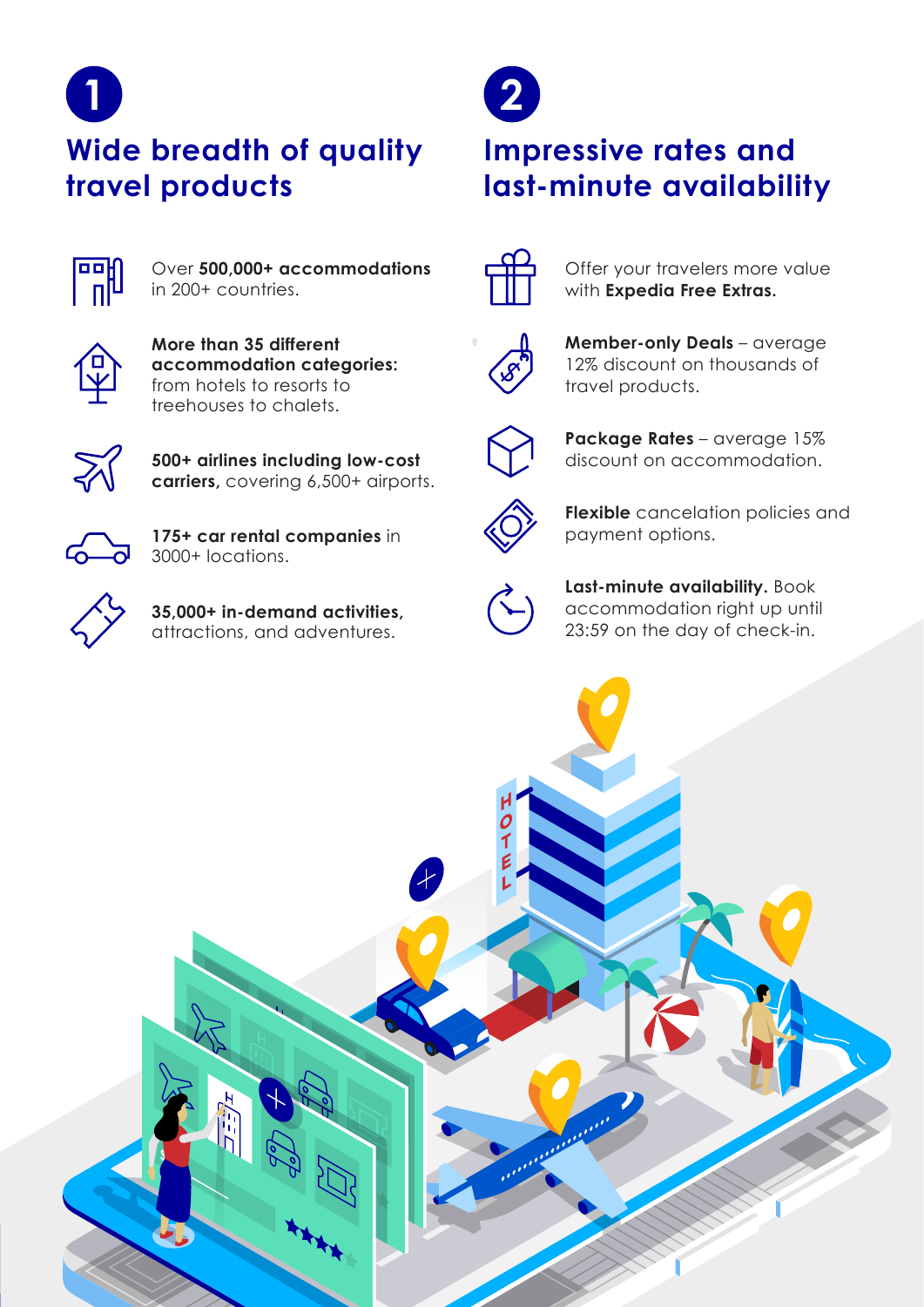

**Wide breadth of quality travel products**



Over **500,000+ accommodations**  in 200+ countries.



**More than 35 different accommodation categories:** from hotels to resorts to treehouses to chalets.



**500+ airlines including low-cost carriers,** covering 6,500+ airports.



**175+ car rental companies** in 3000+ locations.



**35,000+ in-demand activities,**  attractions, and adventures.



# **Impressive rates and last-minute availability**



Offer your travelers more value with **Expedia Free Extras.**



**Member-only Deals** – average 12% discount on thousands of travel products.



**Package Rates** – average 15% discount on accommodation.



**Flexible** cancelation policies and payment options.



**Last-minute availability.** Book accommodation right up until 23:59 on the day of check-in.

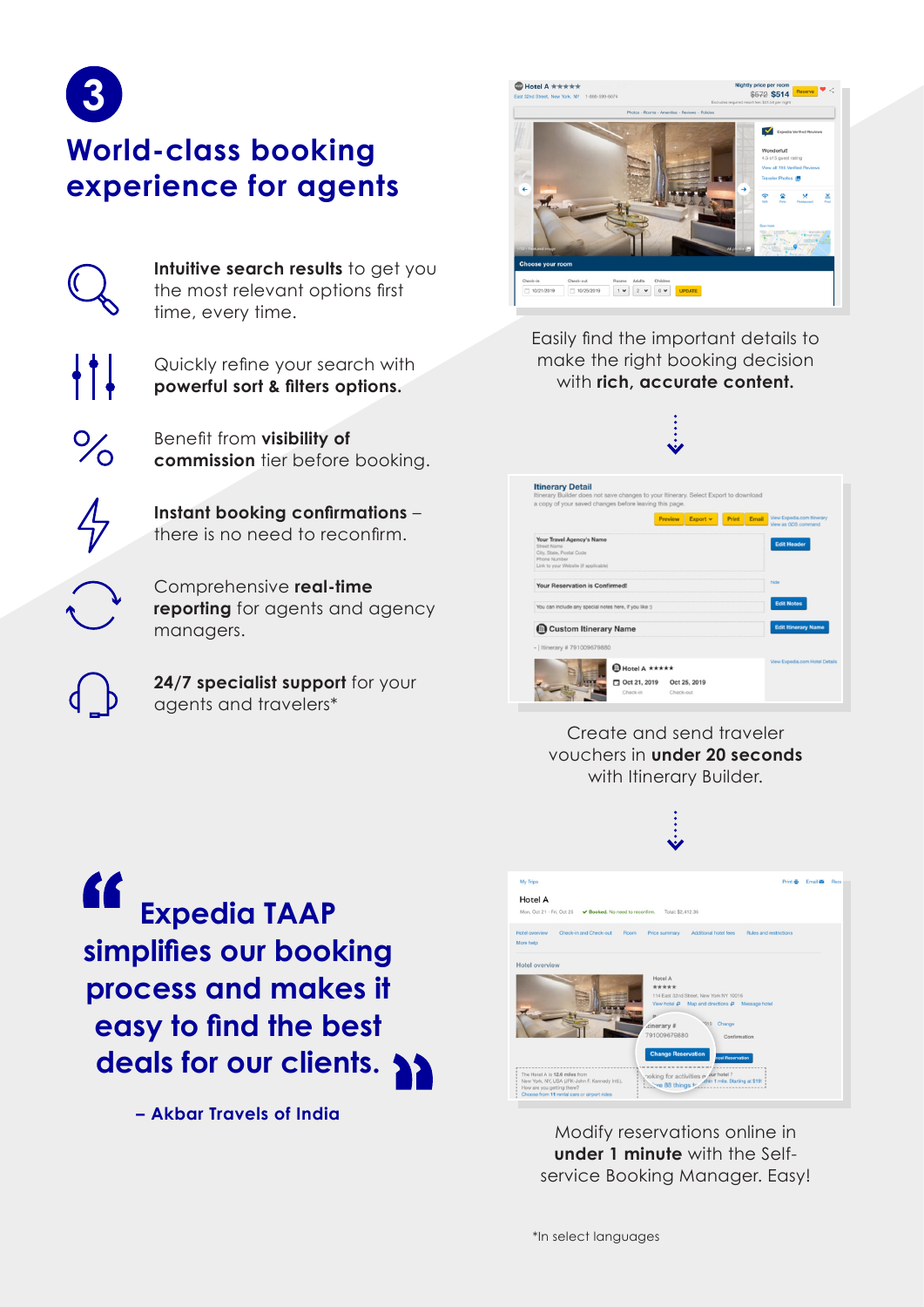

 $\%$ 

# **World-class booking experience for agents**

Intuitive search results to get you the most relevant options first time, every time.

Quickly refine your search with **powerful sort & filters options.**

Benefit from **visibility of commission** tier before booking.

**Instant booking confirmations** – there is no need to reconfirm.

Comprehensive **real-time reporting** for agents and agency managers.

**24/7 specialist support** for your agents and travelers\*



Easily find the important details to make the right booking decision with **rich, accurate content.**



**Itinerary Detail** 



Create and send traveler vouchers in **under 20 seconds** with Itinerary Builder.

**Expedia TAAP simplifies our booking process and makes it easy to find the best deals for our clients.**

**– Akbar Travels of India**



Modify reservations online in **under 1 minute** with the Selfservice Booking Manager. Easy!

\*In select languages